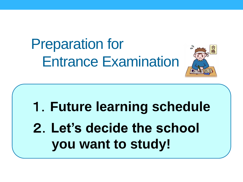# Preparation for Entrance Examination



1.**Future learning schedule** 2.**Let's decide the school you want to study!**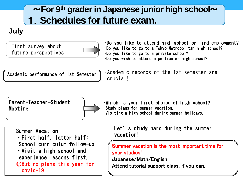### ~**For 9th grader in Japanese junior high school**~ 1.**Schedules for future exam.**

#### **July**

First survey about future perspectives



•Do you like to attend high school or find employment? •Do you like to go to a Tokyo Metropolitan high school? •Do you like to go to a private school? •Do you wish to attend a particular high school?

Academic performance of 1st Semester

•Academic records of the 1st semester are crucial<sup>1</sup>





Summer Vacation ・First half, latter half: School curriculum follow-up ・Visit a high school and experience lessons first. ◎But no plans this year for covid-19

•Visiting a high school during summer holidays.

•Which is your first choice of high school?

•Study plans for summer vacation.

Let's study hard during the summer vacation!

Summer vacation is the most important time for your studies!

Japanese/Math/English Attend tutorial support class, if you can.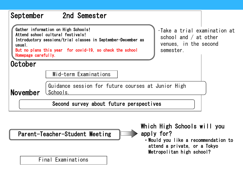

Parent-Teacher-Student Meeting

Final Examinations

Which High Schools will you apply for?

・Would you like a recommendation to attend a private, or a Tokyo Metropolitan high school?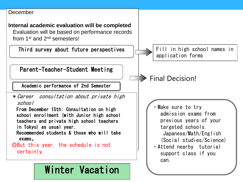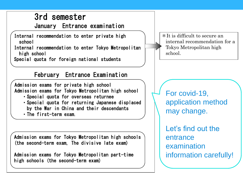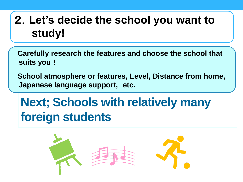# 2.**Let's decide the school you want to study!**

**Carefully research the features and choose the school that suits you**!

**School atmosphere or features, Level, Distance from home, Japanese language support, etc.**

# **Next; Schools with relatively many foreign students**

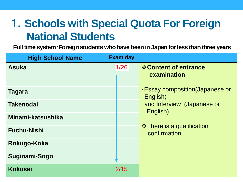# 1.**Schools with Special Quota For Foreign National Students**

**Full time system**・**Foreign students who have been in Japan for less than three years**

| <b>High School Name</b> | <b>Exam day</b> |                                                    |
|-------------------------|-----------------|----------------------------------------------------|
| <b>Asuka</b>            | 1/26            | <b>☆ Content of entrance</b><br>examination        |
| <b>Tagara</b>           |                 | <b>Essay composition (Japanese or</b><br>English)  |
| <b>Takenodai</b>        |                 | and Interview (Japanese or<br>English)             |
| Minami-katsushika       |                 |                                                    |
| <b>Fuchu-Nishi</b>      |                 | <b>❖ There is a qualification</b><br>confirmation. |
| Rokugo-Koka             |                 |                                                    |
| Suginami-Sogo           |                 |                                                    |
| <b>Kokusai</b>          | 2/15            |                                                    |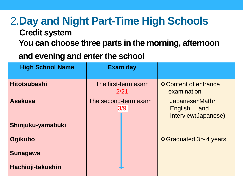# 2.**Day and Night Part-Time High Schools**

#### **Credit system**

**You can choose three parts in the morning, afternoon**

### **and evening and enter the school**

| <b>High School Name</b> |                             | <b>Exam day</b> |                                                                   |
|-------------------------|-----------------------------|-----------------|-------------------------------------------------------------------|
| <b>Hitotsubashi</b>     | The first-term exam<br>2/21 |                 | ❖ Content of entrance<br>examination                              |
| <b>Asakusa</b>          | The second-term exam<br>3/9 |                 | Japanese · Math ·<br><b>English</b><br>and<br>Interview(Japanese) |
| Shinjuku-yamabuki       |                             |                 |                                                                   |
| <b>Ogikubo</b>          |                             |                 | <b><math>\div</math> Graduated 3∼4 years</b>                      |
| <b>Sunagawa</b>         |                             |                 |                                                                   |
| Hachioji-takushin       |                             |                 |                                                                   |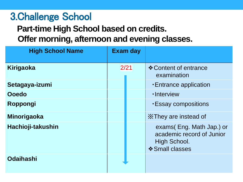### 3.Challenge School

### **Part-time High School based on credits. Offer morning, afternoon and evening classes.**

| <b>High School Name</b> | <b>Exam day</b> |                                                                                          |
|-------------------------|-----------------|------------------------------------------------------------------------------------------|
| Kirigaoka               | 2/21            | ❖ Content of entrance<br>examination                                                     |
| Setagaya-izumi          |                 | <b>Entrance application</b>                                                              |
| Ooedo                   |                 | ·Interview                                                                               |
| Roppongi                |                 | <b>Essay compositions</b>                                                                |
| <b>Minorigaoka</b>      |                 | X They are instead of                                                                    |
| Hachioji-takushin       |                 | exams(Eng. Math Jap.) or<br>academic record of Junior<br>High School.<br>❖ Small classes |
| <b>Odaihashi</b>        |                 |                                                                                          |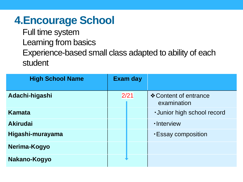### **4.Encourage School**

Full time system Learning from basics Experience-based small class adapted to ability of each student

| <b>High School Name</b> | <b>Exam day</b> |                                      |
|-------------------------|-----------------|--------------------------------------|
| Adachi-higashi          | 2/21            | ❖ Content of entrance<br>examination |
| <b>Kamata</b>           |                 | <b>-Junior high school record</b>    |
| <b>Akirudai</b>         |                 | ·Interview                           |
| Higashi-murayama        |                 | <b>Essay composition</b>             |
| Nerima-Kogyo            |                 |                                      |
| Nakano-Kogyo            |                 |                                      |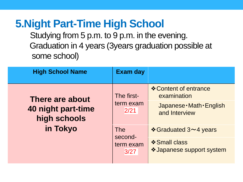### **5.Night Part-Time High School**

Studying from 5 p.m. to 9 p.m. in the evening. Graduation in 4 years (3years graduation possible at some school)

| <b>High School Name</b>                               | <b>Exam day</b>                                                                 |                                                   |
|-------------------------------------------------------|---------------------------------------------------------------------------------|---------------------------------------------------|
| There are about<br>40 night part-time<br>high schools | The first-<br>term exam<br>2/21<br><b>The</b><br>second-<br>term exam<br>$3/27$ | ❖ Content of entrance<br>examination              |
|                                                       |                                                                                 | Japanese · Math · English<br>and Interview        |
| in Tokyo                                              |                                                                                 | <b><math>\triangle</math> Graduated 3∼4 years</b> |
|                                                       |                                                                                 | ❖ Small class<br>❖ Japanese support system        |